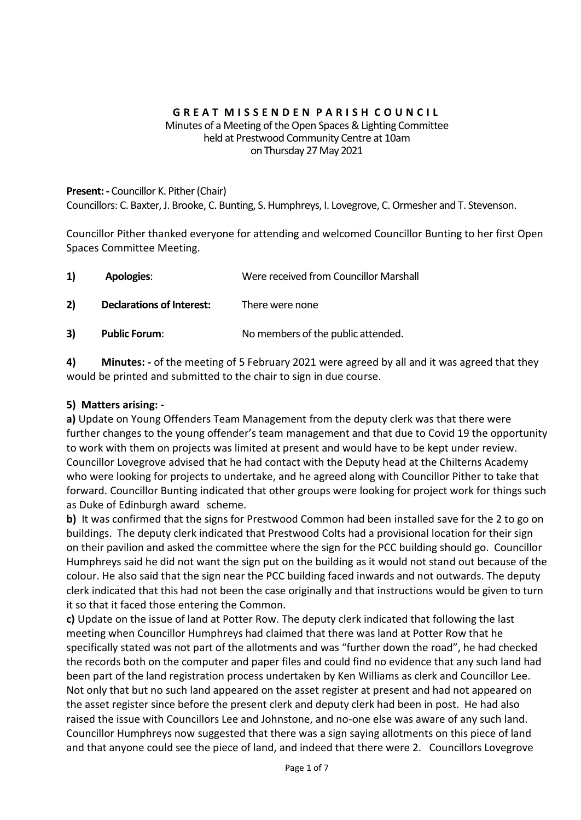#### **G R E A T M I S S E N D E N P A R I S H C O U N C I L** Minutes of a Meeting of the Open Spaces & Lighting Committee held at Prestwood Community Centre at 10am on Thursday 27 May 2021

## **Present: -** Councillor K. Pither (Chair) Councillors: C. Baxter, J. Brooke, C. Bunting, S. Humphreys, I. Lovegrove, C. Ormesher and T. Stevenson.

Councillor Pither thanked everyone for attending and welcomed Councillor Bunting to her first Open Spaces Committee Meeting.

| 1) | <b>Apologies:</b>                | Were received from Councillor Marshall |
|----|----------------------------------|----------------------------------------|
| 2) | <b>Declarations of Interest:</b> | There were none                        |
| 3) | <b>Public Forum:</b>             | No members of the public attended.     |

**4) Minutes: -** of the meeting of 5 February 2021 were agreed by all and it was agreed that they would be printed and submitted to the chair to sign in due course.

# **5) Matters arising: -**

**a)** Update on Young Offenders Team Management from the deputy clerk was that there were further changes to the young offender's team management and that due to Covid 19 the opportunity to work with them on projects was limited at present and would have to be kept under review. Councillor Lovegrove advised that he had contact with the Deputy head at the Chilterns Academy who were looking for projects to undertake, and he agreed along with Councillor Pither to take that forward. Councillor Bunting indicated that other groups were looking for project work for things such as Duke of Edinburgh award scheme.

**b)** It was confirmed that the signs for Prestwood Common had been installed save for the 2 to go on buildings. The deputy clerk indicated that Prestwood Colts had a provisional location for their sign on their pavilion and asked the committee where the sign for the PCC building should go. Councillor Humphreys said he did not want the sign put on the building as it would not stand out because of the colour. He also said that the sign near the PCC building faced inwards and not outwards. The deputy clerk indicated that this had not been the case originally and that instructions would be given to turn it so that it faced those entering the Common.

**c)** Update on the issue of land at Potter Row. The deputy clerk indicated that following the last meeting when Councillor Humphreys had claimed that there was land at Potter Row that he specifically stated was not part of the allotments and was "further down the road", he had checked the records both on the computer and paper files and could find no evidence that any such land had been part of the land registration process undertaken by Ken Williams as clerk and Councillor Lee. Not only that but no such land appeared on the asset register at present and had not appeared on the asset register since before the present clerk and deputy clerk had been in post. He had also raised the issue with Councillors Lee and Johnstone, and no-one else was aware of any such land. Councillor Humphreys now suggested that there was a sign saying allotments on this piece of land and that anyone could see the piece of land, and indeed that there were 2. Councillors Lovegrove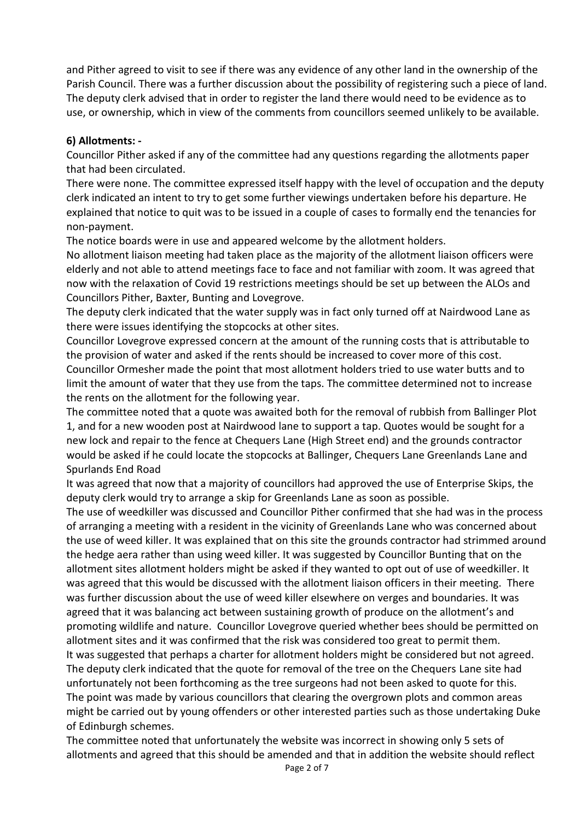and Pither agreed to visit to see if there was any evidence of any other land in the ownership of the Parish Council. There was a further discussion about the possibility of registering such a piece of land. The deputy clerk advised that in order to register the land there would need to be evidence as to use, or ownership, which in view of the comments from councillors seemed unlikely to be available.

# **6) Allotments: -**

Councillor Pither asked if any of the committee had any questions regarding the allotments paper that had been circulated.

There were none. The committee expressed itself happy with the level of occupation and the deputy clerk indicated an intent to try to get some further viewings undertaken before his departure. He explained that notice to quit was to be issued in a couple of cases to formally end the tenancies for non-payment.

The notice boards were in use and appeared welcome by the allotment holders.

No allotment liaison meeting had taken place as the majority of the allotment liaison officers were elderly and not able to attend meetings face to face and not familiar with zoom. It was agreed that now with the relaxation of Covid 19 restrictions meetings should be set up between the ALOs and Councillors Pither, Baxter, Bunting and Lovegrove.

The deputy clerk indicated that the water supply was in fact only turned off at Nairdwood Lane as there were issues identifying the stopcocks at other sites.

Councillor Lovegrove expressed concern at the amount of the running costs that is attributable to the provision of water and asked if the rents should be increased to cover more of this cost. Councillor Ormesher made the point that most allotment holders tried to use water butts and to limit the amount of water that they use from the taps. The committee determined not to increase the rents on the allotment for the following year.

The committee noted that a quote was awaited both for the removal of rubbish from Ballinger Plot 1, and for a new wooden post at Nairdwood lane to support a tap. Quotes would be sought for a new lock and repair to the fence at Chequers Lane (High Street end) and the grounds contractor would be asked if he could locate the stopcocks at Ballinger, Chequers Lane Greenlands Lane and Spurlands End Road

It was agreed that now that a majority of councillors had approved the use of Enterprise Skips, the deputy clerk would try to arrange a skip for Greenlands Lane as soon as possible.

The use of weedkiller was discussed and Councillor Pither confirmed that she had was in the process of arranging a meeting with a resident in the vicinity of Greenlands Lane who was concerned about the use of weed killer. It was explained that on this site the grounds contractor had strimmed around the hedge aera rather than using weed killer. It was suggested by Councillor Bunting that on the allotment sites allotment holders might be asked if they wanted to opt out of use of weedkiller. It was agreed that this would be discussed with the allotment liaison officers in their meeting. There was further discussion about the use of weed killer elsewhere on verges and boundaries. It was agreed that it was balancing act between sustaining growth of produce on the allotment's and promoting wildlife and nature. Councillor Lovegrove queried whether bees should be permitted on allotment sites and it was confirmed that the risk was considered too great to permit them. It was suggested that perhaps a charter for allotment holders might be considered but not agreed. The deputy clerk indicated that the quote for removal of the tree on the Chequers Lane site had unfortunately not been forthcoming as the tree surgeons had not been asked to quote for this. The point was made by various councillors that clearing the overgrown plots and common areas might be carried out by young offenders or other interested parties such as those undertaking Duke of Edinburgh schemes.

The committee noted that unfortunately the website was incorrect in showing only 5 sets of allotments and agreed that this should be amended and that in addition the website should reflect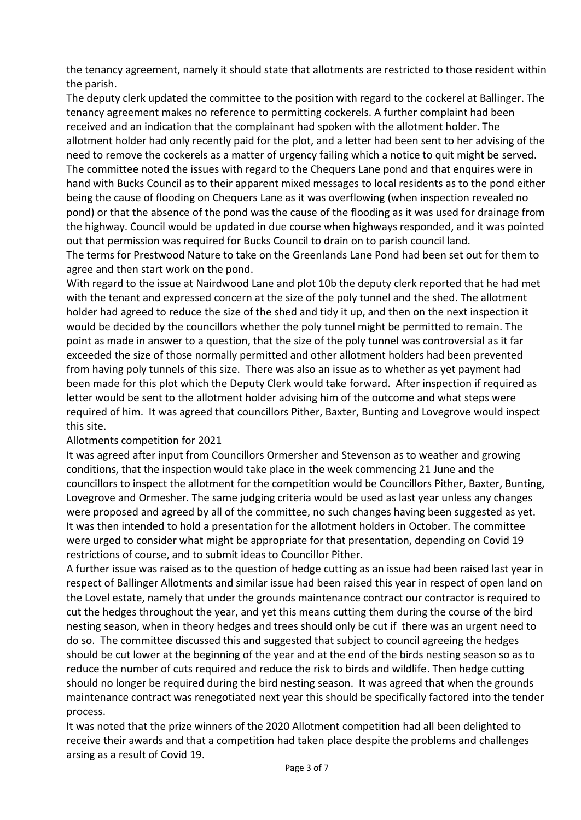the tenancy agreement, namely it should state that allotments are restricted to those resident within the parish.

The deputy clerk updated the committee to the position with regard to the cockerel at Ballinger. The tenancy agreement makes no reference to permitting cockerels. A further complaint had been received and an indication that the complainant had spoken with the allotment holder. The allotment holder had only recently paid for the plot, and a letter had been sent to her advising of the need to remove the cockerels as a matter of urgency failing which a notice to quit might be served. The committee noted the issues with regard to the Chequers Lane pond and that enquires were in hand with Bucks Council as to their apparent mixed messages to local residents as to the pond either being the cause of flooding on Chequers Lane as it was overflowing (when inspection revealed no pond) or that the absence of the pond was the cause of the flooding as it was used for drainage from the highway. Council would be updated in due course when highways responded, and it was pointed out that permission was required for Bucks Council to drain on to parish council land.

The terms for Prestwood Nature to take on the Greenlands Lane Pond had been set out for them to agree and then start work on the pond.

With regard to the issue at Nairdwood Lane and plot 10b the deputy clerk reported that he had met with the tenant and expressed concern at the size of the poly tunnel and the shed. The allotment holder had agreed to reduce the size of the shed and tidy it up, and then on the next inspection it would be decided by the councillors whether the poly tunnel might be permitted to remain. The point as made in answer to a question, that the size of the poly tunnel was controversial as it far exceeded the size of those normally permitted and other allotment holders had been prevented from having poly tunnels of this size. There was also an issue as to whether as yet payment had been made for this plot which the Deputy Clerk would take forward. After inspection if required as letter would be sent to the allotment holder advising him of the outcome and what steps were required of him. It was agreed that councillors Pither, Baxter, Bunting and Lovegrove would inspect this site.

#### Allotments competition for 2021

It was agreed after input from Councillors Ormersher and Stevenson as to weather and growing conditions, that the inspection would take place in the week commencing 21 June and the councillors to inspect the allotment for the competition would be Councillors Pither, Baxter, Bunting, Lovegrove and Ormesher. The same judging criteria would be used as last year unless any changes were proposed and agreed by all of the committee, no such changes having been suggested as yet. It was then intended to hold a presentation for the allotment holders in October. The committee were urged to consider what might be appropriate for that presentation, depending on Covid 19 restrictions of course, and to submit ideas to Councillor Pither.

A further issue was raised as to the question of hedge cutting as an issue had been raised last year in respect of Ballinger Allotments and similar issue had been raised this year in respect of open land on the Lovel estate, namely that under the grounds maintenance contract our contractor is required to cut the hedges throughout the year, and yet this means cutting them during the course of the bird nesting season, when in theory hedges and trees should only be cut if there was an urgent need to do so. The committee discussed this and suggested that subject to council agreeing the hedges should be cut lower at the beginning of the year and at the end of the birds nesting season so as to reduce the number of cuts required and reduce the risk to birds and wildlife. Then hedge cutting should no longer be required during the bird nesting season. It was agreed that when the grounds maintenance contract was renegotiated next year this should be specifically factored into the tender process.

It was noted that the prize winners of the 2020 Allotment competition had all been delighted to receive their awards and that a competition had taken place despite the problems and challenges arsing as a result of Covid 19.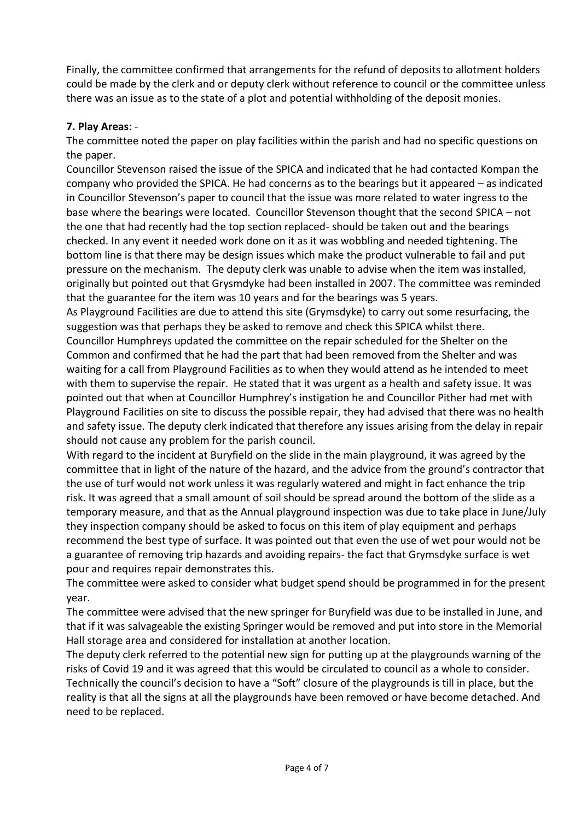Finally, the committee confirmed that arrangements for the refund of deposits to allotment holders could be made by the clerk and or deputy clerk without reference to council or the committee unless there was an issue as to the state of a plot and potential withholding of the deposit monies.

## **7. Play Areas**: -

The committee noted the paper on play facilities within the parish and had no specific questions on the paper.

Councillor Stevenson raised the issue of the SPICA and indicated that he had contacted Kompan the company who provided the SPICA. He had concerns as to the bearings but it appeared – as indicated in Councillor Stevenson's paper to council that the issue was more related to water ingress to the base where the bearings were located. Councillor Stevenson thought that the second SPICA – not the one that had recently had the top section replaced- should be taken out and the bearings checked. In any event it needed work done on it as it was wobbling and needed tightening. The bottom line is that there may be design issues which make the product vulnerable to fail and put pressure on the mechanism. The deputy clerk was unable to advise when the item was installed, originally but pointed out that Grysmdyke had been installed in 2007. The committee was reminded that the guarantee for the item was 10 years and for the bearings was 5 years.

As Playground Facilities are due to attend this site (Grymsdyke) to carry out some resurfacing, the suggestion was that perhaps they be asked to remove and check this SPICA whilst there.

Councillor Humphreys updated the committee on the repair scheduled for the Shelter on the Common and confirmed that he had the part that had been removed from the Shelter and was waiting for a call from Playground Facilities as to when they would attend as he intended to meet with them to supervise the repair. He stated that it was urgent as a health and safety issue. It was pointed out that when at Councillor Humphrey's instigation he and Councillor Pither had met with Playground Facilities on site to discuss the possible repair, they had advised that there was no health and safety issue. The deputy clerk indicated that therefore any issues arising from the delay in repair should not cause any problem for the parish council.

With regard to the incident at Buryfield on the slide in the main playground, it was agreed by the committee that in light of the nature of the hazard, and the advice from the ground's contractor that the use of turf would not work unless it was regularly watered and might in fact enhance the trip risk. It was agreed that a small amount of soil should be spread around the bottom of the slide as a temporary measure, and that as the Annual playground inspection was due to take place in June/July they inspection company should be asked to focus on this item of play equipment and perhaps recommend the best type of surface. It was pointed out that even the use of wet pour would not be a guarantee of removing trip hazards and avoiding repairs- the fact that Grymsdyke surface is wet pour and requires repair demonstrates this.

The committee were asked to consider what budget spend should be programmed in for the present year.

The committee were advised that the new springer for Buryfield was due to be installed in June, and that if it was salvageable the existing Springer would be removed and put into store in the Memorial Hall storage area and considered for installation at another location.

The deputy clerk referred to the potential new sign for putting up at the playgrounds warning of the risks of Covid 19 and it was agreed that this would be circulated to council as a whole to consider. Technically the council's decision to have a "Soft" closure of the playgrounds is till in place, but the reality is that all the signs at all the playgrounds have been removed or have become detached. And need to be replaced.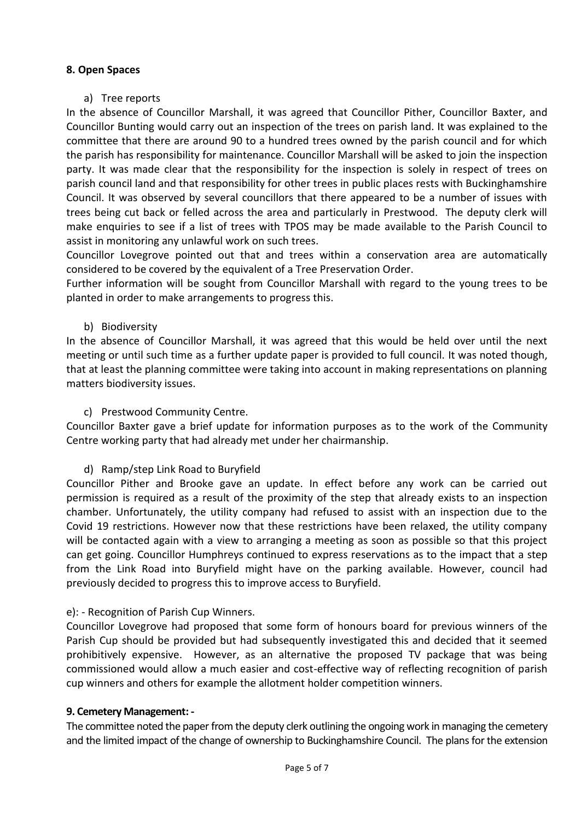## **8. Open Spaces**

## a) Tree reports

In the absence of Councillor Marshall, it was agreed that Councillor Pither, Councillor Baxter, and Councillor Bunting would carry out an inspection of the trees on parish land. It was explained to the committee that there are around 90 to a hundred trees owned by the parish council and for which the parish has responsibility for maintenance. Councillor Marshall will be asked to join the inspection party. It was made clear that the responsibility for the inspection is solely in respect of trees on parish council land and that responsibility for other trees in public places rests with Buckinghamshire Council. It was observed by several councillors that there appeared to be a number of issues with trees being cut back or felled across the area and particularly in Prestwood. The deputy clerk will make enquiries to see if a list of trees with TPOS may be made available to the Parish Council to assist in monitoring any unlawful work on such trees.

Councillor Lovegrove pointed out that and trees within a conservation area are automatically considered to be covered by the equivalent of a Tree Preservation Order.

Further information will be sought from Councillor Marshall with regard to the young trees to be planted in order to make arrangements to progress this.

### b) Biodiversity

In the absence of Councillor Marshall, it was agreed that this would be held over until the next meeting or until such time as a further update paper is provided to full council. It was noted though, that at least the planning committee were taking into account in making representations on planning matters biodiversity issues.

## c) Prestwood Community Centre.

Councillor Baxter gave a brief update for information purposes as to the work of the Community Centre working party that had already met under her chairmanship.

#### d) Ramp/step Link Road to Buryfield

Councillor Pither and Brooke gave an update. In effect before any work can be carried out permission is required as a result of the proximity of the step that already exists to an inspection chamber. Unfortunately, the utility company had refused to assist with an inspection due to the Covid 19 restrictions. However now that these restrictions have been relaxed, the utility company will be contacted again with a view to arranging a meeting as soon as possible so that this project can get going. Councillor Humphreys continued to express reservations as to the impact that a step from the Link Road into Buryfield might have on the parking available. However, council had previously decided to progress this to improve access to Buryfield.

# e): - Recognition of Parish Cup Winners.

Councillor Lovegrove had proposed that some form of honours board for previous winners of the Parish Cup should be provided but had subsequently investigated this and decided that it seemed prohibitively expensive. However, as an alternative the proposed TV package that was being commissioned would allow a much easier and cost-effective way of reflecting recognition of parish cup winners and others for example the allotment holder competition winners.

#### **9. Cemetery Management: -**

The committee noted the paper from the deputy clerk outlining the ongoing work in managing the cemetery and the limited impact of the change of ownership to Buckinghamshire Council. The plans for the extension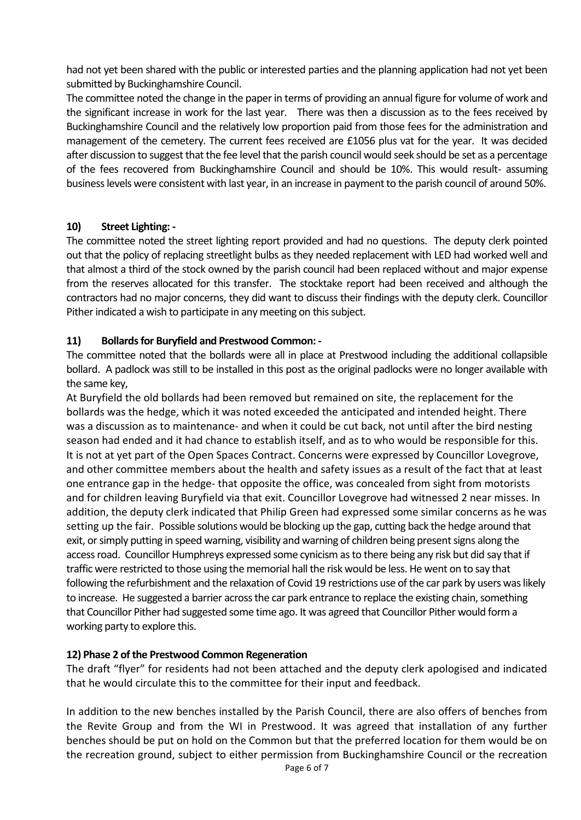had not yet been shared with the public or interested parties and the planning application had not yet been submitted by Buckinghamshire Council.

The committee noted the change in the paper in terms of providing an annual figure for volume of work and the significant increase in work for the last year. There was then a discussion as to the fees received by Buckinghamshire Council and the relatively low proportion paid from those fees for the administration and management of the cemetery. The current fees received are £1056 plus vat for the year. It was decided after discussion to suggest that the fee level that the parish council would seek should be set as a percentage of the fees recovered from Buckinghamshire Council and should be 10%. This would result- assuming business levels were consistent with last year, in an increase in payment to the parish council of around 50%.

# **10) Street Lighting: -**

The committee noted the street lighting report provided and had no questions. The deputy clerk pointed out that the policy of replacing streetlight bulbs as they needed replacement with LED had worked well and that almost a third of the stock owned by the parish council had been replaced without and major expense from the reserves allocated for this transfer. The stocktake report had been received and although the contractors had no major concerns, they did want to discuss their findings with the deputy clerk. Councillor Pither indicated a wish to participate in any meeting on this subject.

# **11) Bollards for Buryfield and Prestwood Common: -**

The committee noted that the bollards were all in place at Prestwood including the additional collapsible bollard. A padlock was still to be installed in this post as the original padlocks were no longer available with the same key,

At Buryfield the old bollards had been removed but remained on site, the replacement for the bollards was the hedge, which it was noted exceeded the anticipated and intended height. There was a discussion as to maintenance- and when it could be cut back, not until after the bird nesting season had ended and it had chance to establish itself, and as to who would be responsible for this. It is not at yet part of the Open Spaces Contract. Concerns were expressed by Councillor Lovegrove, and other committee members about the health and safety issues as a result of the fact that at least one entrance gap in the hedge- that opposite the office, was concealed from sight from motorists and for children leaving Buryfield via that exit. Councillor Lovegrove had witnessed 2 near misses. In addition, the deputy clerk indicated that Philip Green had expressed some similar concerns as he was setting up the fair. Possible solutions would be blocking up the gap, cutting back the hedge around that exit, or simply putting in speed warning, visibility and warning of children being present signs along the access road. Councillor Humphreys expressed some cynicism as to there being any risk but did say that if traffic were restricted to those using the memorial hall the risk would be less. He went on to say that following the refurbishment and the relaxation of Covid 19 restrictions use of the car park by users was likely to increase. He suggested a barrier across the car park entrance to replace the existing chain, something that Councillor Pither had suggested some time ago. It was agreed that Councillor Pither would form a working party to explore this.

# **12) Phase 2 of the Prestwood Common Regeneration**

The draft "flyer" for residents had not been attached and the deputy clerk apologised and indicated that he would circulate this to the committee for their input and feedback.

In addition to the new benches installed by the Parish Council, there are also offers of benches from the Revite Group and from the WI in Prestwood. It was agreed that installation of any further benches should be put on hold on the Common but that the preferred location for them would be on the recreation ground, subject to either permission from Buckinghamshire Council or the recreation